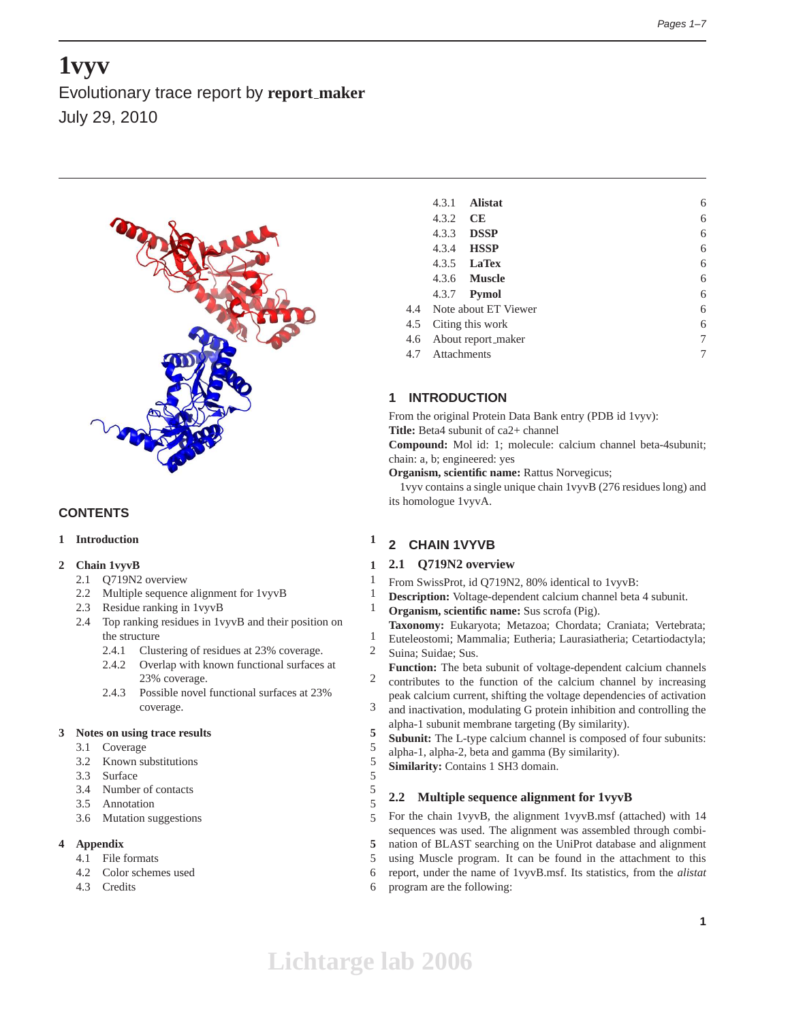# **1vyv**

Evolutionary trace report by **report maker** July 29, 2010



# **CONTENTS**

## **1 Introduction 1**

## **2 Chain 1vyvB 1**

- 2.1 Q719N2 overview 1
- 2.2 Multiple sequence alignment for 1vyvB 1
- 2.3 Residue ranking in 1vyvB 1
- 2.4 Top ranking residues in 1vyvB and their position on the structure 1
	- 2.4.1 Clustering of residues at 23% coverage. 2
	- 2.4.2 Overlap with known functional surfaces at 23% coverage. 2
	- 2.4.3 Possible novel functional surfaces at 23% coverage. 3

#### **3 Notes on using trace results 5**

- 3.1 Coverage 5
- 3.2 Known substitutions 5
- 3.3 Surface 5
- 3.4 Number of contacts 5
- 3.5 Annotation 5
- 3.6 Mutation suggestions 5

## **4 Appendix 5**

- 4.1 File formats 5
- 4.2 Color schemes used 6
- 4.3 Credits 6

|     | 4.3.1           | <b>Alistat</b>           | 6 |
|-----|-----------------|--------------------------|---|
|     | 4.3.2           | <b>CE</b>                | 6 |
|     | 4.3.3           | <b>DSSP</b>              | 6 |
|     | 4.3.4           | <b>HSSP</b>              | 6 |
|     |                 | 4.3.5 <b>LaTex</b>       | 6 |
|     |                 | 4.3.6 <b>Muscle</b>      | 6 |
|     |                 | 4.3.7 <b>Pymol</b>       | 6 |
|     |                 | 4.4 Note about ET Viewer | 6 |
| 4.5 |                 | Citing this work         | 6 |
| 4.6 |                 | About report_maker       | 7 |
|     | 4.7 Attachments |                          | 7 |
|     |                 |                          |   |

# **1 INTRODUCTION**

From the original Protein Data Bank entry (PDB id 1vyv): **Title:** Beta4 subunit of ca2+ channel

**Compound:** Mol id: 1; molecule: calcium channel beta-4subunit; chain: a, b; engineered: yes

**Organism, scientific name:** Rattus Norvegicus;

1vyv contains a single unique chain 1vyvB (276 residues long) and its homologue 1vyvA.

# **2 CHAIN 1VYVB**

# **2.1 Q719N2 overview**

- From SwissProt, id Q719N2, 80% identical to 1vyvB:
- **Description:** Voltage-dependent calcium channel beta 4 subunit.
- **Organism, scientific name:** Sus scrofa (Pig).
	- **Taxonomy:** Eukaryota; Metazoa; Chordata; Craniata; Vertebrata; Euteleostomi; Mammalia; Eutheria; Laurasiatheria; Cetartiodactyla;
- Suina; Suidae; Sus.
- **Function:** The beta subunit of voltage-dependent calcium channels contributes to the function of the calcium channel by increasing
- peak calcium current, shifting the voltage dependencies of activation and inactivation, modulating G protein inhibition and controlling the
- alpha-1 subunit membrane targeting (By similarity).
- **Subunit:** The L-type calcium channel is composed of four subunits:
- alpha-1, alpha-2, beta and gamma (By similarity).
- **Similarity:** Contains 1 SH3 domain.

# **2.2 Multiple sequence alignment for 1vyvB**

For the chain 1vyvB, the alignment 1vyvB.msf (attached) with 14 sequences was used. The alignment was assembled through combination of BLAST searching on the UniProt database and alignment using Muscle program. It can be found in the attachment to this report, under the name of 1vyvB.msf. Its statistics, from the *alistat* program are the following: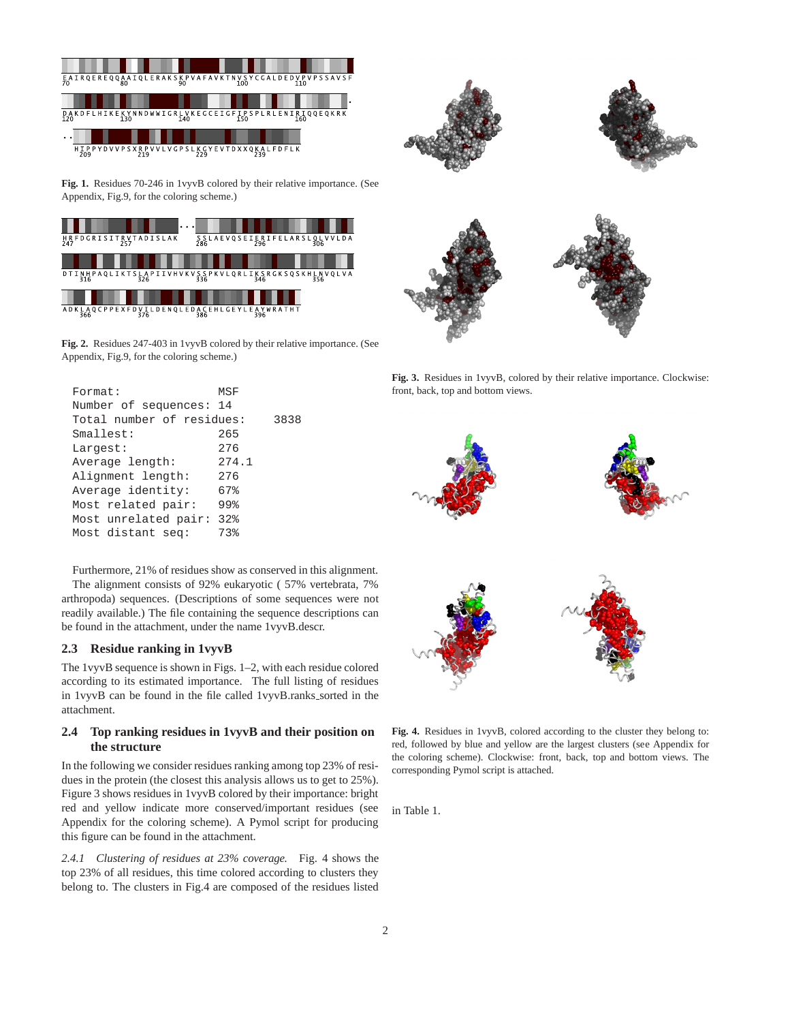





**Fig. 1.** Residues 70-246 in 1vyvB colored by their relative importance. (See Appendix, Fig.9, for the coloring scheme.)



**Fig. 2.** Residues 247-403 in 1vyvB colored by their relative importance. (See Appendix, Fig.9, for the coloring scheme.)

| Format:                   | MSF   |      |
|---------------------------|-------|------|
| Number of sequences: 14   |       |      |
| Total number of residues: |       | 3838 |
| Smallest:                 | 265   |      |
| Largest:                  | 276   |      |
| Average length:           | 274.1 |      |
| Alignment length:         | 276   |      |
| Average identity:         | 67%   |      |
| Most related pair:        | 99%   |      |
| Most unrelated pair:      | 32%   |      |
| Most distant seq:         | 73%   |      |

Furthermore, 21% of residues show as conserved in this alignment. The alignment consists of 92% eukaryotic ( 57% vertebrata, 7% arthropoda) sequences. (Descriptions of some sequences were not readily available.) The file containing the sequence descriptions can be found in the attachment, under the name 1vyvB.descr.

#### **2.3 Residue ranking in 1vyvB**

The 1vyvB sequence is shown in Figs. 1–2, with each residue colored according to its estimated importance. The full listing of residues in 1vyvB can be found in the file called 1vyvB.ranks sorted in the attachment.

## **2.4 Top ranking residues in 1vyvB and their position on the structure**

In the following we consider residues ranking among top 23% of residues in the protein (the closest this analysis allows us to get to 25%). Figure 3 shows residues in 1vyvB colored by their importance: bright red and yellow indicate more conserved/important residues (see Appendix for the coloring scheme). A Pymol script for producing this figure can be found in the attachment.

*2.4.1 Clustering of residues at 23% coverage.* Fig. 4 shows the top 23% of all residues, this time colored according to clusters they belong to. The clusters in Fig.4 are composed of the residues listed



**Fig. 3.** Residues in 1vyvB, colored by their relative importance. Clockwise: front, back, top and bottom views.



**Fig. 4.** Residues in 1vyvB, colored according to the cluster they belong to: red, followed by blue and yellow are the largest clusters (see Appendix for the coloring scheme). Clockwise: front, back, top and bottom views. The corresponding Pymol script is attached.

in Table 1.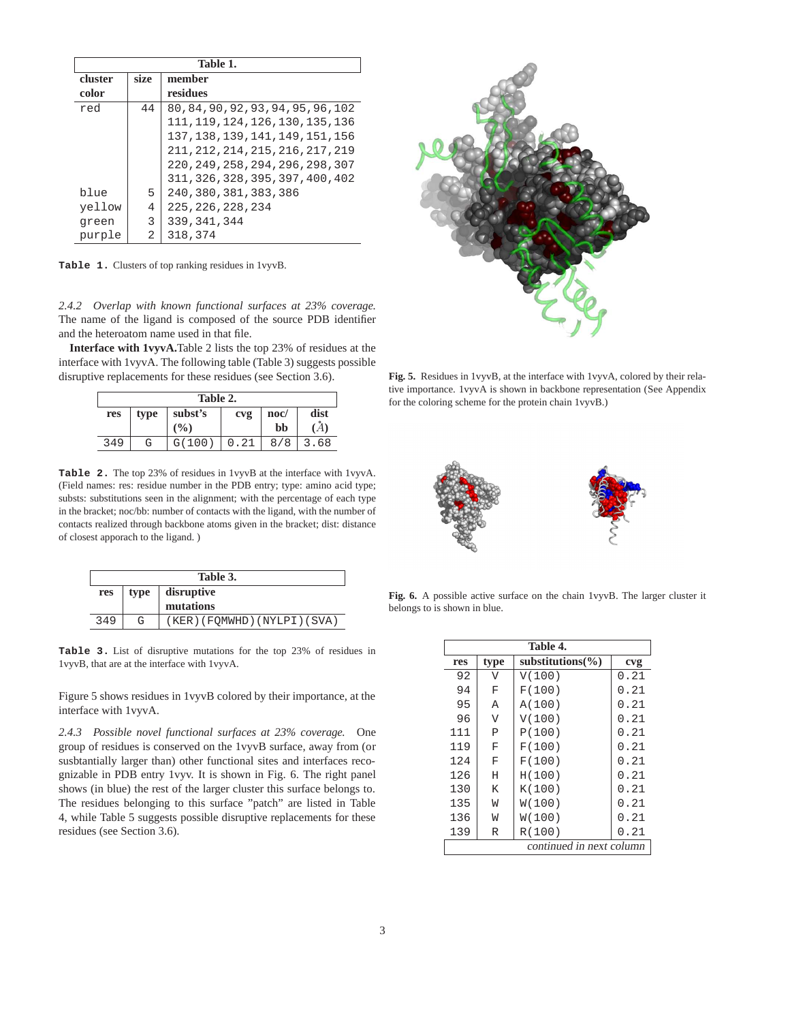| Table 1. |      |                                   |  |
|----------|------|-----------------------------------|--|
| cluster  | size | member                            |  |
| color    |      | residues                          |  |
| red      | 44   | 80,84,90,92,93,94,95,96,102       |  |
|          |      | 111, 119, 124, 126, 130, 135, 136 |  |
|          |      | 137, 138, 139, 141, 149, 151, 156 |  |
|          |      | 211, 212, 214, 215, 216, 217, 219 |  |
|          |      | 220, 249, 258, 294, 296, 298, 307 |  |
|          |      | 311, 326, 328, 395, 397, 400, 402 |  |
| blue     | 5    | 240, 380, 381, 383, 386           |  |
| yellow   | 4    | 225, 226, 228, 234                |  |
| green    | 3    | 339, 341, 344                     |  |
| purple   | 2    | 318,374                           |  |

**Table 1.** Clusters of top ranking residues in 1vyvB.

*2.4.2 Overlap with known functional surfaces at 23% coverage.* The name of the ligand is composed of the source PDB identifier and the heteroatom name used in that file.

**Interface with 1vyvA.**Table 2 lists the top 23% of residues at the interface with 1vyvA. The following table (Table 3) suggests possible disruptive replacements for these residues (see Section 3.6).

| Table 2.               |   |               |      |                 |               |  |
|------------------------|---|---------------|------|-----------------|---------------|--|
| subst's<br>type<br>res |   |               | cvg  | $\mathbf{noc}/$ | dist          |  |
|                        |   | $\frac{9}{6}$ |      | bb              | $\mathcal{A}$ |  |
| 349                    | G | G(100)        | 0.21 | 8/8             | 3.68          |  |

**Table 2.** The top 23% of residues in 1vyvB at the interface with 1vyvA. (Field names: res: residue number in the PDB entry; type: amino acid type; substs: substitutions seen in the alignment; with the percentage of each type in the bracket; noc/bb: number of contacts with the ligand, with the number of contacts realized through backbone atoms given in the bracket; dist: distance of closest apporach to the ligand. )

| Table 3. |                    |                              |  |
|----------|--------------------|------------------------------|--|
| res      | disruptive<br>type |                              |  |
|          |                    | mutations                    |  |
| 349      | G                  | (KER) (FOMWHD) (NYLPI) (SVA) |  |

**Table 3.** List of disruptive mutations for the top 23% of residues in 1vyvB, that are at the interface with 1vyvA.

Figure 5 shows residues in 1vyvB colored by their importance, at the interface with 1vyvA.

*2.4.3 Possible novel functional surfaces at 23% coverage.* One group of residues is conserved on the 1vyvB surface, away from (or susbtantially larger than) other functional sites and interfaces recognizable in PDB entry 1vyv. It is shown in Fig. 6. The right panel shows (in blue) the rest of the larger cluster this surface belongs to. The residues belonging to this surface "patch" are listed in Table 4, while Table 5 suggests possible disruptive replacements for these residues (see Section 3.6).



**Fig. 5.** Residues in 1vyvB, at the interface with 1vyvA, colored by their relative importance. 1vyvA is shown in backbone representation (See Appendix for the coloring scheme for the protein chain 1vyvB.)



**Fig. 6.** A possible active surface on the chain 1vyvB. The larger cluster it belongs to is shown in blue.

| Table 4. |                          |                       |      |  |
|----------|--------------------------|-----------------------|------|--|
| res      | type                     | substitutions $(\% )$ | cvg  |  |
| 92       | V                        | V(100)                | 0.21 |  |
| 94       | F                        | F(100)                | 0.21 |  |
| 95       | Α                        | A(100)                | 0.21 |  |
| 96       | V                        | V(100)                | 0.21 |  |
| 111      | P                        | P(100)                | 0.21 |  |
| 119      | F                        | F(100)                | 0.21 |  |
| 124      | F                        | F(100)                | 0.21 |  |
| 126      | H                        | H(100)                | 0.21 |  |
| 130      | K                        | K(100)                | 0.21 |  |
| 135      | W                        | W(100)                | 0.21 |  |
| 136      | W                        | W(100)                | 0.21 |  |
| 139      | R                        | R(100)                | 0.21 |  |
|          | continued in next column |                       |      |  |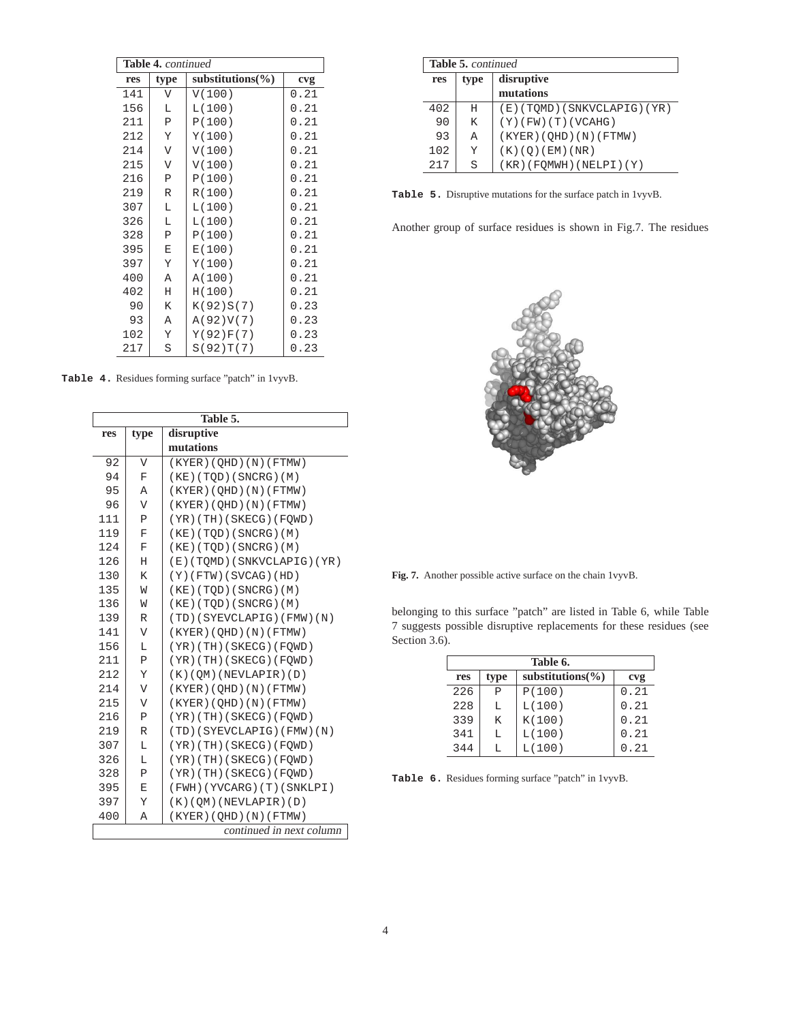| <b>Table 4.</b> continued |                         |                       |      |  |
|---------------------------|-------------------------|-----------------------|------|--|
| res                       | type                    | substitutions $(\% )$ | cvg  |  |
| 141                       | V                       | V(100)                | 0.21 |  |
| 156                       | L                       | L(100)                | 0.21 |  |
| 211                       | P                       | P(100)                | 0.21 |  |
| 212                       | Υ                       | Y(100)                | 0.21 |  |
| 214                       | $\overline{\mathsf{V}}$ | V(100)                | 0.21 |  |
| 215                       | V                       | V(100)                | 0.21 |  |
| 216                       | P                       | P(100)                | 0.21 |  |
| 219                       | R                       | R(100)                | 0.21 |  |
| 307                       | L                       | L(100)                | 0.21 |  |
| 326                       | Г                       | L(100)                | 0.21 |  |
| 328                       | P                       | P(100)                | 0.21 |  |
| 395                       | E                       | E(100)                | 0.21 |  |
| 397                       | Υ                       | Y(100)                | 0.21 |  |
| 400                       | A                       | A(100)                | 0.21 |  |
| 402                       | Η                       | H(100)                | 0.21 |  |
| 90                        | K                       | K(92)S(7)             | 0.23 |  |
| 93                        | Α                       | A(92)V(7)             | 0.23 |  |
| 102                       | Υ                       | Y(92)F(7)             | 0.23 |  |
| 217                       | S                       | S(92)T(7)             | 0.23 |  |

**Table 4.** Residues forming surface "patch" in 1vyvB.

|     |                         | Table 5.                   |
|-----|-------------------------|----------------------------|
| res | type                    | disruptive                 |
|     |                         | mutations                  |
| 92  | $\overline{V}$          | (KYER) (QHD) (N) (FTMW)    |
| 94  | F                       | (KE) (TOD) (SNCRG) (M)     |
| 95  | Α                       | (KYER) (QHD) (N) (FTMW)    |
| 96  | V                       | (KYER) (QHD) (N) (FTMW)    |
| 111 | Ρ                       | $(YR)$ (TH) (SKECG) (FQWD) |
| 119 | F                       | (KE) (TOD) (SNCRG) (M)     |
| 124 | F                       | (KE) (TQD) (SNCRG) (M)     |
| 126 | Η                       | (E)(TOMD)(SNKVCLAPIG)(YR)  |
| 130 | K                       | $(Y)$ (FTW) (SVCAG) (HD)   |
| 135 | W                       | (KE) (TOD) (SNCRG) (M)     |
| 136 | W                       | (KE) (TOD) (SNCRG) (M)     |
| 139 | R                       | (TD)(SYEVCLAPIG)(FMW)(N)   |
| 141 | V                       | (KYER) (OHD) (N) (FTMW)    |
| 156 | L                       | (YR)(TH)(SKECG)(FOWD)      |
| 211 | $\, {\bf P}$            | (YR) (TH) (SKECG) (FOWD)   |
| 212 | Y                       | (K) (OM) (NEVLAPIR) (D)    |
| 214 | V                       | (KYER) (QHD) (N) (FTMW)    |
| 215 | $\overline{\mathsf{V}}$ | (KYER) (QHD) (N) (FTMW)    |
| 216 | Ρ                       | (YR) (TH) (SKECG) (FOWD)   |
| 219 | $\mathbb R$             | (TD)(SYEVCLAPIG)(FMW)(N)   |
| 307 | L                       | (YR)(TH)(SKECG)(FQWD)      |
| 326 | Г                       | $(YR)$ (TH) (SKECG) (FQWD) |
| 328 | Ρ                       | (YR)(TH)(SKECG)(FQWD)      |
| 395 | E                       | (FWH)(YVCARG)(T)(SNKLPI)   |
| 397 | Υ                       | $(K)$ (OM) (NEVLAPIR) (D)  |
| 400 | Α                       | (KYER) (QHD) (N) (FTMW)    |
|     |                         | continued in next column   |
|     |                         |                            |

|     | <b>Table 5. continued</b> |                                |  |  |
|-----|---------------------------|--------------------------------|--|--|
| res | type                      | disruptive                     |  |  |
|     |                           | mutations                      |  |  |
| 402 | H                         | $(E)$ (TOMD) (SNKVCLAPIG) (YR) |  |  |
| 90  | K                         | $(Y)$ (FW) (T) (VCAHG)         |  |  |
| 93  | A                         | (KYER) (QHD) (N) (FTMW)        |  |  |
| 102 | Y                         | (K)(Q)(EM)(NR)                 |  |  |
| 217 | S                         | $(KR)$ (FQMWH) (NELPI) (Y)     |  |  |

**Table 5.** Disruptive mutations for the surface patch in 1vyvB.

Another group of surface residues is shown in Fig.7. The residues



**Fig. 7.** Another possible active surface on the chain 1vyvB.

belonging to this surface "patch" are listed in Table 6, while Table 7 suggests possible disruptive replacements for these residues (see Section 3.6).

| Table 6. |      |                       |      |  |
|----------|------|-----------------------|------|--|
| res      | type | substitutions $(\% )$ | cvg  |  |
| 226      | Р    | P(100)                | 0.21 |  |
| 228      | L    | L(100)                | 0.21 |  |
| 339      | K    | K(100)                | 0.21 |  |
| 341      | L    | L(100)                | 0.21 |  |
| 344      | т.   | L(100)                | .21  |  |

**Table 6.** Residues forming surface "patch" in 1vyvB.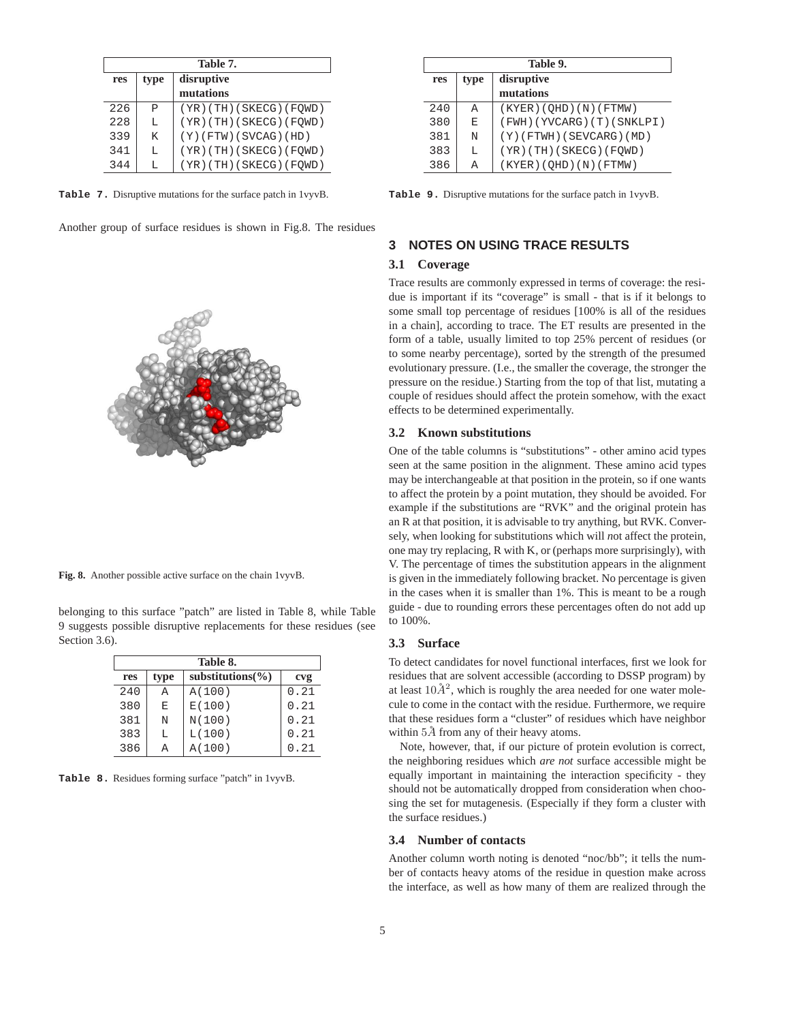| Table 7. |      |                          |  |
|----------|------|--------------------------|--|
| res      | type | disruptive               |  |
|          |      | mutations                |  |
| 226      | P    | (YR)(TH)(SKECG)(FQWD)    |  |
| 228      | L    | (YR)(TH)(SKECG)(FQWD)    |  |
| 339      | K    | $(Y)$ (FTW) (SVCAG) (HD) |  |
| 341      | т.   | (YR)(TH)(SKECG)(FQWD)    |  |
| 344      | т.   | (YR)(TH)(SKECG)(FQWD)    |  |

**Table 7.** Disruptive mutations for the surface patch in 1vyvB.

Another group of surface residues is shown in Fig.8. The residues



**Fig. 8.** Another possible active surface on the chain 1vyvB.

belonging to this surface "patch" are listed in Table 8, while Table 9 suggests possible disruptive replacements for these residues (see Section 3.6).

| Table 8. |      |                       |      |  |
|----------|------|-----------------------|------|--|
| res      | type | substitutions $(\% )$ | cvg  |  |
| 240      | А    | A(100)                | 0.21 |  |
| 380      | E    | E(100)                | 0.21 |  |
| 381      | N    | N(100)                | 0.21 |  |
| 383      | L    | L(100)                | 0.21 |  |
| 386      | А    | A(100)                | 0.21 |  |

**Table 8.** Residues forming surface "patch" in 1vyvB.

| Table 9. |      |                             |
|----------|------|-----------------------------|
| res      | type | disruptive                  |
|          |      | mutations                   |
| 240      | A    | (KYER) (OHD) (N) (FTMW)     |
| 380      | E    | (FWH) (YVCARG) (T) (SNKLPI) |
| 381      | N    | $(Y)$ (FTWH) (SEVCARG) (MD) |
| 383      | L    | $(YR)$ (TH) (SKECG) (FQWD)  |
| 386      | Α    | (KYER) (QHD) (N) (FTMW)     |

**Table 9.** Disruptive mutations for the surface patch in 1vyvB.

### **3 NOTES ON USING TRACE RESULTS**

#### **3.1 Coverage**

Trace results are commonly expressed in terms of coverage: the residue is important if its "coverage" is small - that is if it belongs to some small top percentage of residues [100% is all of the residues in a chain], according to trace. The ET results are presented in the form of a table, usually limited to top 25% percent of residues (or to some nearby percentage), sorted by the strength of the presumed evolutionary pressure. (I.e., the smaller the coverage, the stronger the pressure on the residue.) Starting from the top of that list, mutating a couple of residues should affect the protein somehow, with the exact effects to be determined experimentally.

#### **3.2 Known substitutions**

One of the table columns is "substitutions" - other amino acid types seen at the same position in the alignment. These amino acid types may be interchangeable at that position in the protein, so if one wants to affect the protein by a point mutation, they should be avoided. For example if the substitutions are "RVK" and the original protein has an R at that position, it is advisable to try anything, but RVK. Conversely, when looking for substitutions which will *n*ot affect the protein, one may try replacing, R with K, or (perhaps more surprisingly), with V. The percentage of times the substitution appears in the alignment is given in the immediately following bracket. No percentage is given in the cases when it is smaller than 1%. This is meant to be a rough guide - due to rounding errors these percentages often do not add up to 100%.

#### **3.3 Surface**

To detect candidates for novel functional interfaces, first we look for residues that are solvent accessible (according to DSSP program) by at least  $10\AA^2$ , which is roughly the area needed for one water molecule to come in the contact with the residue. Furthermore, we require that these residues form a "cluster" of residues which have neighbor within  $5\AA$  from any of their heavy atoms.

Note, however, that, if our picture of protein evolution is correct, the neighboring residues which *are not* surface accessible might be equally important in maintaining the interaction specificity - they should not be automatically dropped from consideration when choosing the set for mutagenesis. (Especially if they form a cluster with the surface residues.)

#### **3.4 Number of contacts**

Another column worth noting is denoted "noc/bb"; it tells the number of contacts heavy atoms of the residue in question make across the interface, as well as how many of them are realized through the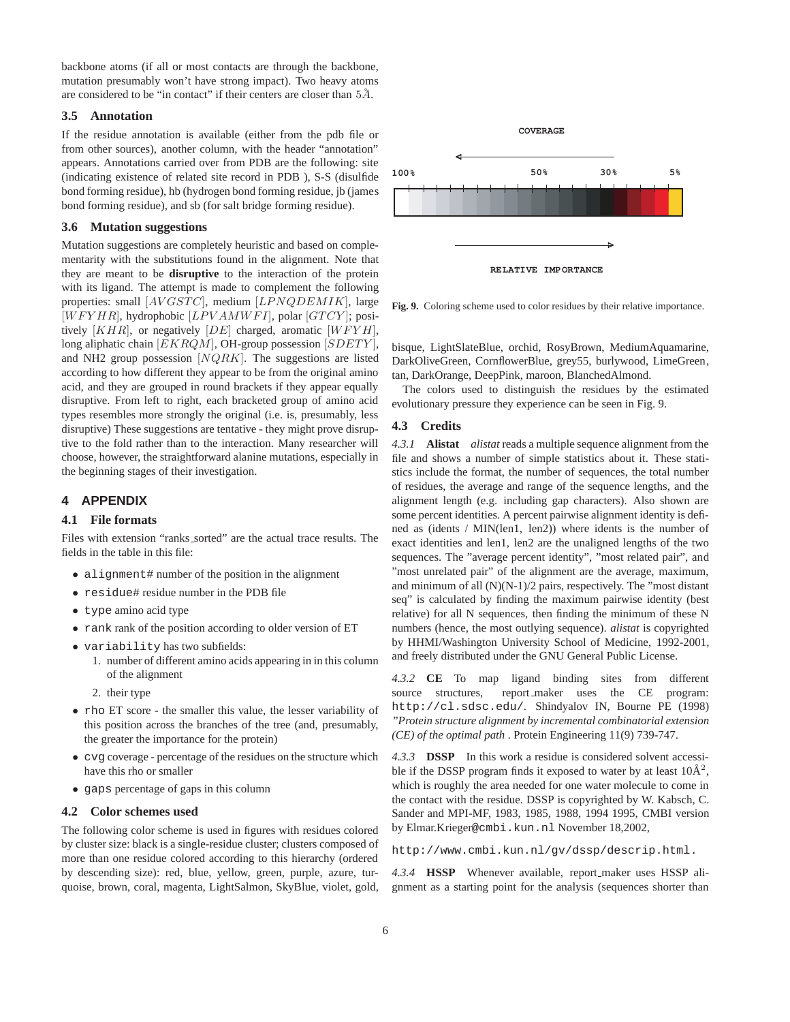backbone atoms (if all or most contacts are through the backbone, mutation presumably won't have strong impact). Two heavy atoms are considered to be "in contact" if their centers are closer than  $5\AA$ .

#### **3.5 Annotation**

If the residue annotation is available (either from the pdb file or from other sources), another column, with the header "annotation" appears. Annotations carried over from PDB are the following: site (indicating existence of related site record in PDB ), S-S (disulfide bond forming residue), hb (hydrogen bond forming residue, jb (james bond forming residue), and sb (for salt bridge forming residue).

#### **3.6 Mutation suggestions**

Mutation suggestions are completely heuristic and based on complementarity with the substitutions found in the alignment. Note that they are meant to be **disruptive** to the interaction of the protein with its ligand. The attempt is made to complement the following properties: small  $[AVGSTC]$ , medium  $[LPNQDEMIK]$ , large  $[WFYHR]$ , hydrophobic  $[LPVAMWFI]$ , polar  $[GTCY]$ ; positively  $[KHR]$ , or negatively  $[DE]$  charged, aromatic  $[WFYH]$ , long aliphatic chain  $[EKRQM]$ , OH-group possession  $[SDETY]$ , and NH2 group possession  $[NQRK]$ . The suggestions are listed according to how different they appear to be from the original amino acid, and they are grouped in round brackets if they appear equally disruptive. From left to right, each bracketed group of amino acid types resembles more strongly the original (i.e. is, presumably, less disruptive) These suggestions are tentative - they might prove disruptive to the fold rather than to the interaction. Many researcher will choose, however, the straightforward alanine mutations, especially in the beginning stages of their investigation.

## **4 APPENDIX**

#### **4.1 File formats**

Files with extension "ranks\_sorted" are the actual trace results. The fields in the table in this file:

- alignment# number of the position in the alignment
- residue# residue number in the PDB file
- type amino acid type
- rank rank of the position according to older version of ET
- variability has two subfields:
	- 1. number of different amino acids appearing in in this column of the alignment
	- 2. their type
- rho ET score the smaller this value, the lesser variability of this position across the branches of the tree (and, presumably, the greater the importance for the protein)
- cvg coverage percentage of the residues on the structure which have this rho or smaller
- gaps percentage of gaps in this column

#### **4.2 Color schemes used**

The following color scheme is used in figures with residues colored by cluster size: black is a single-residue cluster; clusters composed of more than one residue colored according to this hierarchy (ordered by descending size): red, blue, yellow, green, purple, azure, turquoise, brown, coral, magenta, LightSalmon, SkyBlue, violet, gold,



**Fig. 9.** Coloring scheme used to color residues by their relative importance.

bisque, LightSlateBlue, orchid, RosyBrown, MediumAquamarine, DarkOliveGreen, CornflowerBlue, grey55, burlywood, LimeGreen, tan, DarkOrange, DeepPink, maroon, BlanchedAlmond.

The colors used to distinguish the residues by the estimated evolutionary pressure they experience can be seen in Fig. 9.

#### **4.3 Credits**

*4.3.1* **Alistat** *alistat* reads a multiple sequence alignment from the file and shows a number of simple statistics about it. These statistics include the format, the number of sequences, the total number of residues, the average and range of the sequence lengths, and the alignment length (e.g. including gap characters). Also shown are some percent identities. A percent pairwise alignment identity is defined as (idents / MIN(len1, len2)) where idents is the number of exact identities and len1, len2 are the unaligned lengths of the two sequences. The "average percent identity", "most related pair", and "most unrelated pair" of the alignment are the average, maximum, and minimum of all  $(N)(N-1)/2$  pairs, respectively. The "most distant" seq" is calculated by finding the maximum pairwise identity (best relative) for all N sequences, then finding the minimum of these N numbers (hence, the most outlying sequence). *alistat* is copyrighted by HHMI/Washington University School of Medicine, 1992-2001, and freely distributed under the GNU General Public License.

*4.3.2* **CE** To map ligand binding sites from different source structures, report maker uses the CE program: http://cl.sdsc.edu/. Shindyalov IN, Bourne PE (1998) *"Protein structure alignment by incremental combinatorial extension (CE) of the optimal path* . Protein Engineering 11(9) 739-747.

*4.3.3* **DSSP** In this work a residue is considered solvent accessible if the DSSP program finds it exposed to water by at least  $10\text{\AA}^2$ , which is roughly the area needed for one water molecule to come in the contact with the residue. DSSP is copyrighted by W. Kabsch, C. Sander and MPI-MF, 1983, 1985, 1988, 1994 1995, CMBI version by Elmar.Krieger@cmbi.kun.nl November 18,2002,

http://www.cmbi.kun.nl/gv/dssp/descrip.html.

*4.3.4* **HSSP** Whenever available, report maker uses HSSP alignment as a starting point for the analysis (sequences shorter than